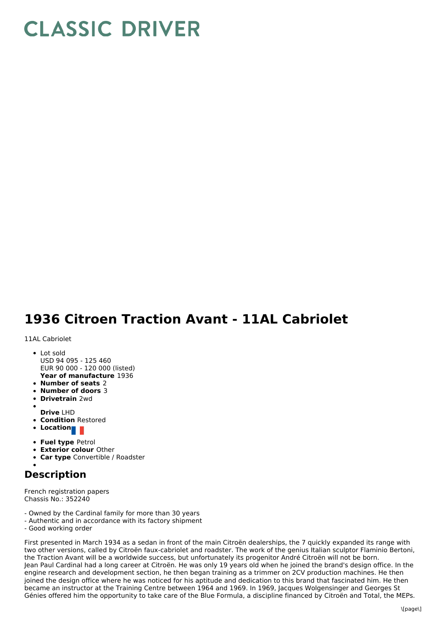## **CLASSIC DRIVER**

## **1936 Citroen Traction Avant - 11AL Cabriolet**

11AL Cabriolet

- **Year of manufacture** 1936 • Lot sold USD 94 095 - 125 460 EUR 90 000 - 120 000 (listed)
- **Number of seats** 2
- **Number of doors** 3
- **Drivetrain** 2wd
- **Drive** LHD
- 
- **Condition** Restored **Location**
- 
- **Fuel type** Petrol
- **Exterior colour** Other
- **Car type** Convertible / Roadster

## **Description**

French registration papers Chassis No.: 352240

- Owned by the Cardinal family for more than 30 years
- Authentic and in accordance with its factory shipment
- Good working order

First presented in March 1934 as a sedan in front of the main Citroën dealerships, the 7 quickly expanded its range with two other versions, called by Citroën faux-cabriolet and roadster. The work of the genius Italian sculptor Flaminio Bertoni, the Traction Avant will be a worldwide success, but unfortunately its progenitor André Citroën will not be born. Jean Paul Cardinal had a long career at Citroën. He was only 19 years old when he joined the brand's design office. In the engine research and development section, he then began training as a trimmer on 2CV production machines. He then joined the design office where he was noticed for his aptitude and dedication to this brand that fascinated him. He then became an instructor at the Training Centre between 1964 and 1969. In 1969, Jacques Wolgensinger and Georges St Génies offered him the opportunity to take care of the Blue Formula, a discipline financed by Citroën and Total, the MEPs.